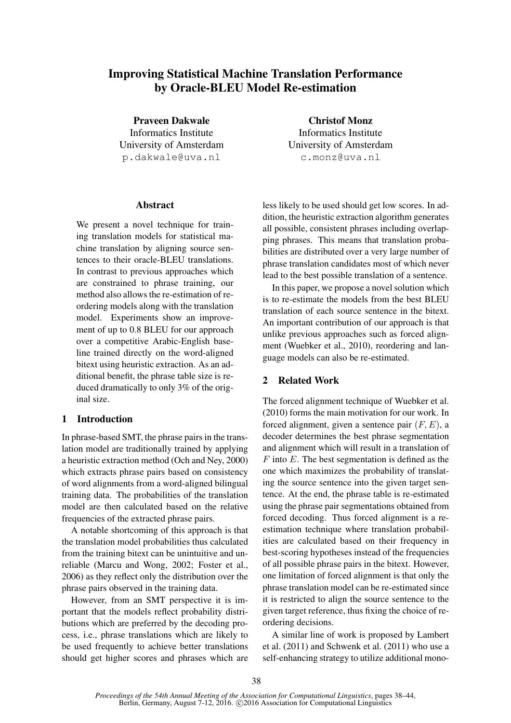# Improving Statistical Machine Translation Performance by Oracle-BLEU Model Re-estimation

Praveen Dakwale Informatics Institute University of Amsterdam p.dakwale@uva.nl

## Abstract

We present a novel technique for training translation models for statistical machine translation by aligning source sentences to their oracle-BLEU translations. In contrast to previous approaches which are constrained to phrase training, our method also allows the re-estimation of reordering models along with the translation model. Experiments show an improvement of up to 0.8 BLEU for our approach over a competitive Arabic-English baseline trained directly on the word-aligned bitext using heuristic extraction. As an additional benefit, the phrase table size is reduced dramatically to only 3% of the original size.

# 1 Introduction

In phrase-based SMT, the phrase pairs in the translation model are traditionally trained by applying a heuristic extraction method (Och and Ney, 2000) which extracts phrase pairs based on consistency of word alignments from a word-aligned bilingual training data. The probabilities of the translation model are then calculated based on the relative frequencies of the extracted phrase pairs.

A notable shortcoming of this approach is that the translation model probabilities thus calculated from the training bitext can be unintuitive and unreliable (Marcu and Wong, 2002; Foster et al., 2006) as they reflect only the distribution over the phrase pairs observed in the training data.

However, from an SMT perspective it is important that the models reflect probability distributions which are preferred by the decoding process, i.e., phrase translations which are likely to be used frequently to achieve better translations should get higher scores and phrases which are

Christof Monz Informatics Institute University of Amsterdam c.monz@uva.nl

less likely to be used should get low scores. In addition, the heuristic extraction algorithm generates all possible, consistent phrases including overlapping phrases. This means that translation probabilities are distributed over a very large number of phrase translation candidates most of which never lead to the best possible translation of a sentence.

In this paper, we propose a novel solution which is to re-estimate the models from the best BLEU translation of each source sentence in the bitext. An important contribution of our approach is that unlike previous approaches such as forced alignment (Wuebker et al., 2010), reordering and language models can also be re-estimated.

# 2 Related Work

The forced alignment technique of Wuebker et al. (2010) forms the main motivation for our work. In forced alignment, given a sentence pair  $(F, E)$ , a decoder determines the best phrase segmentation and alignment which will result in a translation of  $F$  into  $E$ . The best segmentation is defined as the one which maximizes the probability of translating the source sentence into the given target sentence. At the end, the phrase table is re-estimated using the phrase pair segmentations obtained from forced decoding. Thus forced alignment is a reestimation technique where translation probabilities are calculated based on their frequency in best-scoring hypotheses instead of the frequencies of all possible phrase pairs in the bitext. However, one limitation of forced alignment is that only the phrase translation model can be re-estimated since it is restricted to align the source sentence to the given target reference, thus fixing the choice of reordering decisions.

A similar line of work is proposed by Lambert et al. (2011) and Schwenk et al. (2011) who use a self-enhancing strategy to utilize additional mono-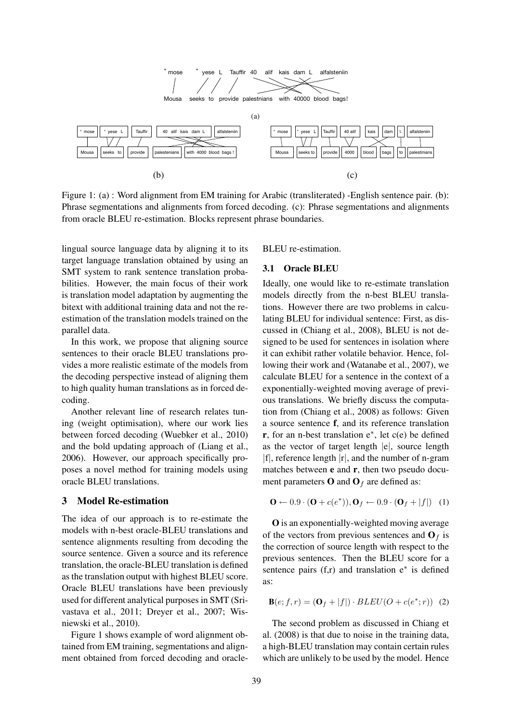

Figure 1: (a) : Word alignment from EM training for Arabic (transliterated) -English sentence pair. (b): Phrase segmentations and alignments from forced decoding. (c): Phrase segmentations and alignments from oracle BLEU re-estimation. Blocks represent phrase boundaries.

lingual source language data by aligning it to its target language translation obtained by using an SMT system to rank sentence translation probabilities. However, the main focus of their work is translation model adaptation by augmenting the bitext with additional training data and not the reestimation of the translation models trained on the parallel data.

In this work, we propose that aligning source sentences to their oracle BLEU translations provides a more realistic estimate of the models from the decoding perspective instead of aligning them to high quality human translations as in forced decoding.

Another relevant line of research relates tuning (weight optimisation), where our work lies between forced decoding (Wuebker et al., 2010) and the bold updating approach of (Liang et al., 2006). However, our approach specifically proposes a novel method for training models using oracle BLEU translations.

#### 3 Model Re-estimation

The idea of our approach is to re-estimate the models with n-best oracle-BLEU translations and sentence alignments resulting from decoding the source sentence. Given a source and its reference translation, the oracle-BLEU translation is defined as the translation output with highest BLEU score. Oracle BLEU translations have been previously used for different analytical purposes in SMT (Srivastava et al., 2011; Dreyer et al., 2007; Wisniewski et al., 2010).

Figure 1 shows example of word alignment obtained from EM training, segmentations and alignment obtained from forced decoding and oracleBLEU re-estimation.

#### 3.1 Oracle BLEU

Ideally, one would like to re-estimate translation models directly from the n-best BLEU translations. However there are two problems in calculating BLEU for individual sentence: First, as discussed in (Chiang et al., 2008), BLEU is not designed to be used for sentences in isolation where it can exhibit rather volatile behavior. Hence, following their work and (Watanabe et al., 2007), we calculate BLEU for a sentence in the context of a exponentially-weighted moving average of previous translations. We briefly discuss the computation from (Chiang et al., 2008) as follows: Given a source sentence f, and its reference translation r, for an n-best translation e∗ , let c(e) be defined as the vector of target length |e|, source length  $|f|$ , reference length  $|r|$ , and the number of n-gram matches between **e** and **r**, then two pseudo document parameters **O** and  $O_f$  are defined as:

$$
\mathbf{O} \leftarrow 0.9 \cdot (\mathbf{O} + c(e^*)), \mathbf{O}_f \leftarrow 0.9 \cdot (\mathbf{O}_f + |f|) \quad (1)
$$

O is an exponentially-weighted moving average of the vectors from previous sentences and  $O_f$  is the correction of source length with respect to the previous sentences. Then the BLEU score for a sentence pairs  $(f,r)$  and translation  $e^*$  is defined as:

$$
\mathbf{B}(e; f, r) = (\mathbf{O}_f + |f|) \cdot BLEU(O + c(e^*; r))
$$
 (2)

The second problem as discussed in Chiang et al. (2008) is that due to noise in the training data, a high-BLEU translation may contain certain rules which are unlikely to be used by the model. Hence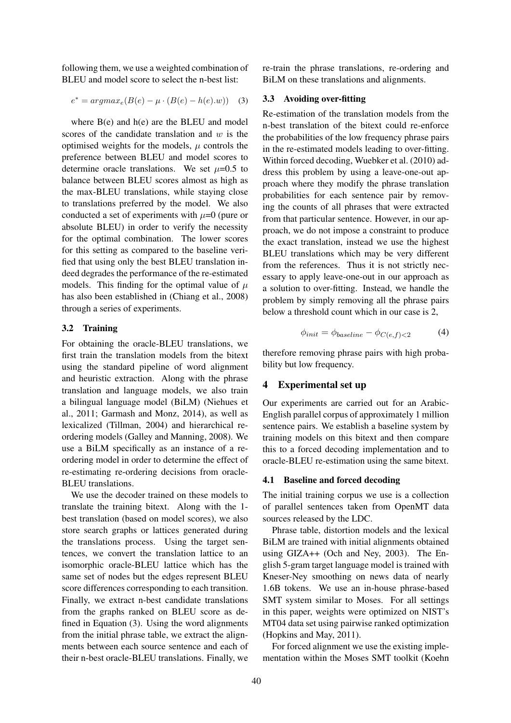following them, we use a weighted combination of BLEU and model score to select the n-best list:

$$
e^* = argmax_e(B(e) - \mu \cdot (B(e) - h(e).w))
$$
 (3)

where B(e) and h(e) are the BLEU and model scores of the candidate translation and  $w$  is the optimised weights for the models,  $\mu$  controls the preference between BLEU and model scores to determine oracle translations. We set  $\mu$ =0.5 to balance between BLEU scores almost as high as the max-BLEU translations, while staying close to translations preferred by the model. We also conducted a set of experiments with  $\mu=0$  (pure or absolute BLEU) in order to verify the necessity for the optimal combination. The lower scores for this setting as compared to the baseline verified that using only the best BLEU translation indeed degrades the performance of the re-estimated models. This finding for the optimal value of  $\mu$ has also been established in (Chiang et al., 2008) through a series of experiments.

#### 3.2 Training

For obtaining the oracle-BLEU translations, we first train the translation models from the bitext using the standard pipeline of word alignment and heuristic extraction. Along with the phrase translation and language models, we also train a bilingual language model (BiLM) (Niehues et al., 2011; Garmash and Monz, 2014), as well as lexicalized (Tillman, 2004) and hierarchical reordering models (Galley and Manning, 2008). We use a BiLM specifically as an instance of a reordering model in order to determine the effect of re-estimating re-ordering decisions from oracle-BLEU translations.

We use the decoder trained on these models to translate the training bitext. Along with the 1 best translation (based on model scores), we also store search graphs or lattices generated during the translations process. Using the target sentences, we convert the translation lattice to an isomorphic oracle-BLEU lattice which has the same set of nodes but the edges represent BLEU score differences corresponding to each transition. Finally, we extract n-best candidate translations from the graphs ranked on BLEU score as defined in Equation (3). Using the word alignments from the initial phrase table, we extract the alignments between each source sentence and each of their n-best oracle-BLEU translations. Finally, we re-train the phrase translations, re-ordering and BiLM on these translations and alignments.

## 3.3 Avoiding over-fitting

Re-estimation of the translation models from the n-best translation of the bitext could re-enforce the probabilities of the low frequency phrase pairs in the re-estimated models leading to over-fitting. Within forced decoding, Wuebker et al. (2010) address this problem by using a leave-one-out approach where they modify the phrase translation probabilities for each sentence pair by removing the counts of all phrases that were extracted from that particular sentence. However, in our approach, we do not impose a constraint to produce the exact translation, instead we use the highest BLEU translations which may be very different from the references. Thus it is not strictly necessary to apply leave-one-out in our approach as a solution to over-fitting. Instead, we handle the problem by simply removing all the phrase pairs below a threshold count which in our case is 2,

$$
\phi_{init} = \phi_{baseline} - \phi_{C(e,f) < 2} \tag{4}
$$

therefore removing phrase pairs with high probability but low frequency.

#### 4 Experimental set up

Our experiments are carried out for an Arabic-English parallel corpus of approximately 1 million sentence pairs. We establish a baseline system by training models on this bitext and then compare this to a forced decoding implementation and to oracle-BLEU re-estimation using the same bitext.

#### 4.1 Baseline and forced decoding

The initial training corpus we use is a collection of parallel sentences taken from OpenMT data sources released by the LDC.

Phrase table, distortion models and the lexical BiLM are trained with initial alignments obtained using GIZA++ (Och and Ney, 2003). The English 5-gram target language model is trained with Kneser-Ney smoothing on news data of nearly 1.6B tokens. We use an in-house phrase-based SMT system similar to Moses. For all settings in this paper, weights were optimized on NIST's MT04 data set using pairwise ranked optimization (Hopkins and May, 2011).

For forced alignment we use the existing implementation within the Moses SMT toolkit (Koehn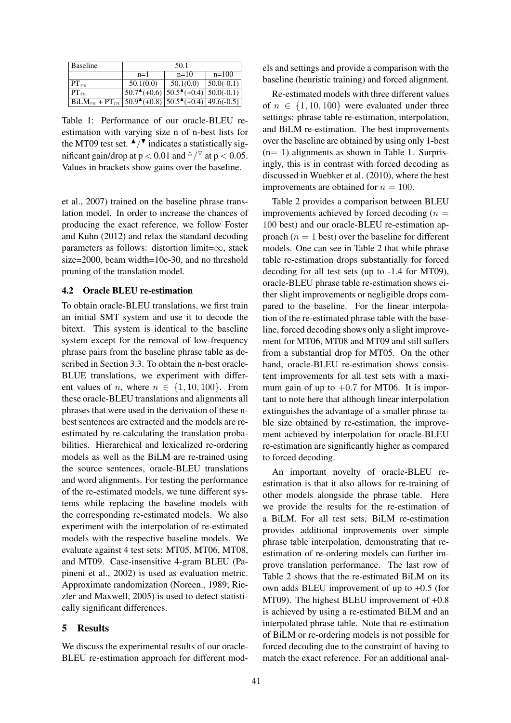| <b>Baseline</b>                                                                                                                                 | 50.1                                                                         |           |                |  |  |
|-------------------------------------------------------------------------------------------------------------------------------------------------|------------------------------------------------------------------------------|-----------|----------------|--|--|
|                                                                                                                                                 | $n=1$                                                                        | $n=10$    | $n=100$        |  |  |
| $PT_{re}$                                                                                                                                       | 50.1(0.0)                                                                    | 50.1(0.0) | $ 50.0(-0.1) $ |  |  |
| $P\Gamma_{in}$                                                                                                                                  | $\overline{50.7^{\text{A}} (+0.6) \, 50.5^{\text{A}} (+0.4) \, 50.0 (-0.1)}$ |           |                |  |  |
| $\frac{\text{BiLM}_{re} + \text{PT}_{in} \left[ 50.9^{\text{A}} (+0.8) \right] 50.5^{\text{A}} (+0.4) \left[ 49.6 (-0.5) \right]}{20.5 (-0.5)}$ |                                                                              |           |                |  |  |

Table 1: Performance of our oracle-BLEU reestimation with varying size n of n-best lists for the MT09 test set.  $\blacktriangle$ / $\blacktriangledown$  indicates a statistically significant gain/drop at p  $< 0.01$  and  $\Delta/\sqrt{2}$  at p  $< 0.05$ . Values in brackets show gains over the baseline.

et al., 2007) trained on the baseline phrase translation model. In order to increase the chances of producing the exact reference, we follow Foster and Kuhn (2012) and relax the standard decoding parameters as follows: distortion limit=∞, stack size=2000, beam width=10e-30, and no threshold pruning of the translation model.

#### 4.2 Oracle BLEU re-estimation

To obtain oracle-BLEU translations, we first train an initial SMT system and use it to decode the bitext. This system is identical to the baseline system except for the removal of low-frequency phrase pairs from the baseline phrase table as described in Section 3.3. To obtain the n-best oracle-BLUE translations, we experiment with different values of *n*, where  $n \in \{1, 10, 100\}$ . From these oracle-BLEU translations and alignments all phrases that were used in the derivation of these nbest sentences are extracted and the models are reestimated by re-calculating the translation probabilities. Hierarchical and lexicalized re-ordering models as well as the BiLM are re-trained using the source sentences, oracle-BLEU translations and word alignments. For testing the performance of the re-estimated models, we tune different systems while replacing the baseline models with the corresponding re-estimated models. We also experiment with the interpolation of re-estimated models with the respective baseline models. We evaluate against 4 test sets: MT05, MT06, MT08, and MT09. Case-insensitive 4-gram BLEU (Papineni et al., 2002) is used as evaluation metric. Approximate randomization (Noreen., 1989; Riezler and Maxwell, 2005) is used to detect statistically significant differences.

## 5 Results

We discuss the experimental results of our oracle-BLEU re-estimation approach for different models and settings and provide a comparison with the baseline (heuristic training) and forced alignment.

Re-estimated models with three different values of  $n \in \{1, 10, 100\}$  were evaluated under three settings: phrase table re-estimation, interpolation, and BiLM re-estimation. The best improvements over the baseline are obtained by using only 1-best  $(n= 1)$  alignments as shown in Table 1. Surprisingly, this is in contrast with forced decoding as discussed in Wuebker et al. (2010), where the best improvements are obtained for  $n = 100$ .

Table 2 provides a comparison between BLEU improvements achieved by forced decoding  $(n =$ 100 best) and our oracle-BLEU re-estimation approach  $(n = 1$  best) over the baseline for different models. One can see in Table 2 that while phrase table re-estimation drops substantially for forced decoding for all test sets (up to -1.4 for MT09), oracle-BLEU phrase table re-estimation shows either slight improvements or negligible drops compared to the baseline. For the linear interpolation of the re-estimated phrase table with the baseline, forced decoding shows only a slight improvement for MT06, MT08 and MT09 and still suffers from a substantial drop for MT05. On the other hand, oracle-BLEU re-estimation shows consistent improvements for all test sets with a maximum gain of up to  $+0.7$  for MT06. It is important to note here that although linear interpolation extinguishes the advantage of a smaller phrase table size obtained by re-estimation, the improvement achieved by interpolation for oracle-BLEU re-estimation are significantly higher as compared to forced decoding.

An important novelty of oracle-BLEU reestimation is that it also allows for re-training of other models alongside the phrase table. Here we provide the results for the re-estimation of a BiLM. For all test sets, BiLM re-estimation provides additional improvements over simple phrase table interpolation, demonstrating that reestimation of re-ordering models can further improve translation performance. The last row of Table 2 shows that the re-estimated BiLM on its own adds BLEU improvement of up to +0.5 (for MT09). The highest BLEU improvement of +0.8 is achieved by using a re-estimated BiLM and an interpolated phrase table. Note that re-estimation of BiLM or re-ordering models is not possible for forced decoding due to the constraint of having to match the exact reference. For an additional anal-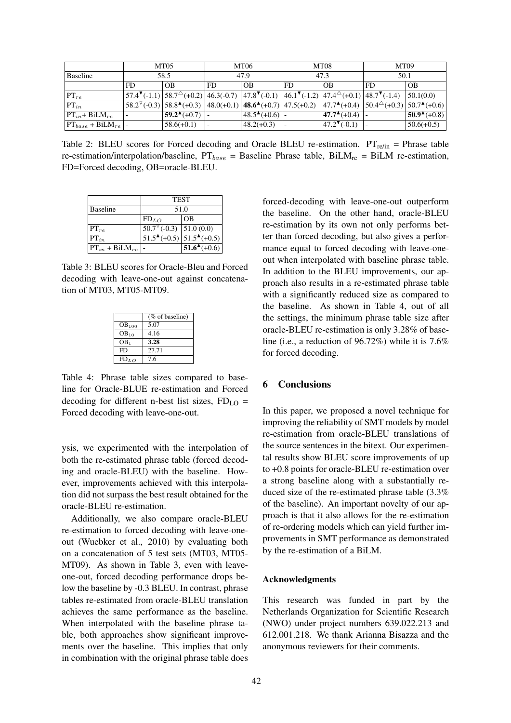|                                      |      | <b>MT05</b>                                                                                                                                                                        |      | MT06                      |           | MT08                       | MT <sub>09</sub>                                  |                            |
|--------------------------------------|------|------------------------------------------------------------------------------------------------------------------------------------------------------------------------------------|------|---------------------------|-----------|----------------------------|---------------------------------------------------|----------------------------|
| Baseline                             | 58.5 |                                                                                                                                                                                    | 47.9 |                           | 47.3      |                            | 50.1                                              |                            |
|                                      | FD.  | OB                                                                                                                                                                                 | FD.  | <b>OB</b>                 | <b>FD</b> | <b>OB</b>                  | FD                                                | <b>OB</b>                  |
| $PT_{re}$                            |      | $\left[57.4^{\nabla}(-1.1)\right]58.7^{\nabla}(+0.2)\left[46.3(-0.7)\right]47.8^{\nabla}(-0.1)\left[46.1^{\nabla}(-1.2)\right]47.4^{\nabla}(+0.1)\left[48.7^{\nabla}(-1.4)\right]$ |      |                           |           |                            |                                                   | 50.1(0.0)                  |
| $PT_{in}$                            |      | $58.2^{\triangledown}(-0.3)$ $58.8^{\triangleright}(+0.3)$ $48.0(+0.1)$ $48.6^{\triangleright}(+0.7)$ $47.5(+0.2)$                                                                 |      |                           |           | $ 47.7^{\triangle}(+0.4) $ | $ 50.4^{\triangle}(+0.3) 50.7^{\triangle}(+0.6) $ |                            |
| $PT_{in}$ + BiLM <sub>re</sub>       |      | $59.2^{\triangle}(+0.7)$ -                                                                                                                                                         |      | $48.5^{\bullet} (+0.6)$ - |           | $ 47.7^{\circ} (+0.4) $    |                                                   | $ 50.9^{\triangle}(+0.8) $ |
| $PT_{base}$ + BiLM <sub>re</sub>   - |      | $58.6(+0.1)$                                                                                                                                                                       |      | $48.2(+0.3)$              |           | $47.2^{\n\bullet}(-0.1)$   |                                                   | $50.6(+0.5)$               |

Table 2: BLEU scores for Forced decoding and Oracle BLEU re-estimation.  $PT_{refin}$  = Phrase table re-estimation/interpolation/baseline,  $PT_{base}$  = Baseline Phrase table, BiLM<sub>re</sub> = BiLM re-estimation, FD=Forced decoding, OB=oracle-BLEU.

|                                | <b>TEST</b>                                        |                                                                                   |  |
|--------------------------------|----------------------------------------------------|-----------------------------------------------------------------------------------|--|
| <b>Baseline</b>                | 51.0                                               |                                                                                   |  |
|                                | $FD_{LO}$                                          | <b>OB</b>                                                                         |  |
| $PT_{re}$                      | $\overline{50.7^{\triangledown}(-0.3)}$ 51.0 (0.0) |                                                                                   |  |
| $PT_{in}$                      |                                                    | $\overline{51.5^{\blacktriangle}(+0.5)}$ $\overline{51.5^{\blacktriangle}(+0.5)}$ |  |
| $PT_{in}$ + BiLM <sub>re</sub> |                                                    | $51.6^{\triangle}(+0.6)$                                                          |  |

Table 3: BLEU scores for Oracle-Bleu and Forced decoding with leave-one-out against concatenation of MT03, MT05-MT09.

|                   | $(\%$ of baseline) |
|-------------------|--------------------|
| OB <sub>100</sub> | 5.07               |
| $OB_{10}$         | 4.16               |
| OB <sub>1</sub>   | 3.28               |
| FD                | 27.71              |
| $FD_{LO}$         | 76                 |

Table 4: Phrase table sizes compared to baseline for Oracle-BLUE re-estimation and Forced decoding for different n-best list sizes,  $FD<sub>LO</sub>$  = Forced decoding with leave-one-out.

ysis, we experimented with the interpolation of both the re-estimated phrase table (forced decoding and oracle-BLEU) with the baseline. However, improvements achieved with this interpolation did not surpass the best result obtained for the oracle-BLEU re-estimation.

Additionally, we also compare oracle-BLEU re-estimation to forced decoding with leave-oneout (Wuebker et al., 2010) by evaluating both on a concatenation of 5 test sets (MT03, MT05- MT09). As shown in Table 3, even with leaveone-out, forced decoding performance drops below the baseline by -0.3 BLEU. In contrast, phrase tables re-estimated from oracle-BLEU translation achieves the same performance as the baseline. When interpolated with the baseline phrase table, both approaches show significant improvements over the baseline. This implies that only in combination with the original phrase table does

forced-decoding with leave-one-out outperform the baseline. On the other hand, oracle-BLEU re-estimation by its own not only performs better than forced decoding, but also gives a performance equal to forced decoding with leave-oneout when interpolated with baseline phrase table. In addition to the BLEU improvements, our approach also results in a re-estimated phrase table with a significantly reduced size as compared to the baseline. As shown in Table 4, out of all the settings, the minimum phrase table size after oracle-BLEU re-estimation is only 3.28% of baseline (i.e., a reduction of 96.72%) while it is 7.6% for forced decoding.

# 6 Conclusions

In this paper, we proposed a novel technique for improving the reliability of SMT models by model re-estimation from oracle-BLEU translations of the source sentences in the bitext. Our experimental results show BLEU score improvements of up to +0.8 points for oracle-BLEU re-estimation over a strong baseline along with a substantially reduced size of the re-estimated phrase table (3.3% of the baseline). An important novelty of our approach is that it also allows for the re-estimation of re-ordering models which can yield further improvements in SMT performance as demonstrated by the re-estimation of a BiLM.

#### Acknowledgments

This research was funded in part by the Netherlands Organization for Scientific Research (NWO) under project numbers 639.022.213 and 612.001.218. We thank Arianna Bisazza and the anonymous reviewers for their comments.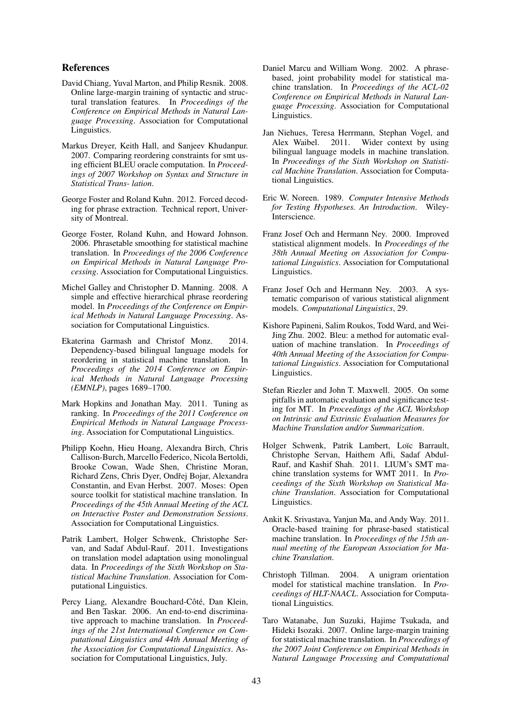# References

- David Chiang, Yuval Marton, and Philip Resnik. 2008. Online large-margin training of syntactic and structural translation features. In *Proceedings of the Conference on Empirical Methods in Natural Language Processing*. Association for Computational Linguistics.
- Markus Dreyer, Keith Hall, and Sanjeev Khudanpur. 2007. Comparing reordering constraints for smt using efficient BLEU oracle computation. In *Proceedings of 2007 Workshop on Syntax and Structure in Statistical Trans- lation*.
- George Foster and Roland Kuhn. 2012. Forced decoding for phrase extraction. Technical report, University of Montreal.
- George Foster, Roland Kuhn, and Howard Johnson. 2006. Phrasetable smoothing for statistical machine translation. In *Proceedings of the 2006 Conference on Empirical Methods in Natural Language Processing*. Association for Computational Linguistics.
- Michel Galley and Christopher D. Manning. 2008. A simple and effective hierarchical phrase reordering model. In *Proceedings of the Conference on Empirical Methods in Natural Language Processing*. Association for Computational Linguistics.
- Ekaterina Garmash and Christof Monz. 2014. Dependency-based bilingual language models for reordering in statistical machine translation. In *Proceedings of the 2014 Conference on Empirical Methods in Natural Language Processing (EMNLP)*, pages 1689–1700.
- Mark Hopkins and Jonathan May. 2011. Tuning as ranking. In *Proceedings of the 2011 Conference on Empirical Methods in Natural Language Processing*. Association for Computational Linguistics.
- Philipp Koehn, Hieu Hoang, Alexandra Birch, Chris Callison-Burch, Marcello Federico, Nicola Bertoldi, Brooke Cowan, Wade Shen, Christine Moran, Richard Zens, Chris Dyer, Ondřej Bojar, Alexandra Constantin, and Evan Herbst. 2007. Moses: Open source toolkit for statistical machine translation. In *Proceedings of the 45th Annual Meeting of the ACL on Interactive Poster and Demonstration Sessions*. Association for Computational Linguistics.
- Patrik Lambert, Holger Schwenk, Christophe Servan, and Sadaf Abdul-Rauf. 2011. Investigations on translation model adaptation using monolingual data. In *Proceedings of the Sixth Workshop on Statistical Machine Translation*. Association for Computational Linguistics.
- Percy Liang, Alexandre Bouchard-Côté, Dan Klein, and Ben Taskar. 2006. An end-to-end discriminative approach to machine translation. In *Proceedings of the 21st International Conference on Computational Linguistics and 44th Annual Meeting of the Association for Computational Linguistics*. Association for Computational Linguistics, July.
- Daniel Marcu and William Wong. 2002. A phrasebased, joint probability model for statistical machine translation. In *Proceedings of the ACL-02 Conference on Empirical Methods in Natural Language Processing*. Association for Computational Linguistics.
- Jan Niehues, Teresa Herrmann, Stephan Vogel, and Alex Waibel. 2011. Wider context by using bilingual language models in machine translation. In *Proceedings of the Sixth Workshop on Statistical Machine Translation*. Association for Computational Linguistics.
- Eric W. Noreen. 1989. *Computer Intensive Methods for Testing Hypotheses. An Introduction*. Wiley-Interscience.
- Franz Josef Och and Hermann Ney. 2000. Improved statistical alignment models. In *Proceedings of the 38th Annual Meeting on Association for Computational Linguistics*. Association for Computational Linguistics.
- Franz Josef Och and Hermann Ney. 2003. A systematic comparison of various statistical alignment models. *Computational Linguistics*, 29.
- Kishore Papineni, Salim Roukos, Todd Ward, and Wei-Jing Zhu. 2002. Bleu: a method for automatic evaluation of machine translation. In *Proceedings of 40th Annual Meeting of the Association for Computational Linguistics*. Association for Computational Linguistics.
- Stefan Riezler and John T. Maxwell. 2005. On some pitfalls in automatic evaluation and significance testing for MT. In *Proceedings of the ACL Workshop on Intrinsic and Extrinsic Evaluation Measures for Machine Translation and/or Summarization*.
- Holger Schwenk, Patrik Lambert, Loïc Barrault, Christophe Servan, Haithem Afli, Sadaf Abdul-Rauf, and Kashif Shah. 2011. LIUM's SMT machine translation systems for WMT 2011. In *Proceedings of the Sixth Workshop on Statistical Machine Translation*. Association for Computational Linguistics.
- Ankit K. Srivastava, Yanjun Ma, and Andy Way. 2011. Oracle-based training for phrase-based statistical machine translation. In *Proceedings of the 15th annual meeting of the European Association for Machine Translation*.
- Christoph Tillman. 2004. A unigram orientation model for statistical machine translation. In *Proceedings of HLT-NAACL*. Association for Computational Linguistics.
- Taro Watanabe, Jun Suzuki, Hajime Tsukada, and Hideki Isozaki. 2007. Online large-margin training for statistical machine translation. In *Proceedings of the 2007 Joint Conference on Empirical Methods in Natural Language Processing and Computational*